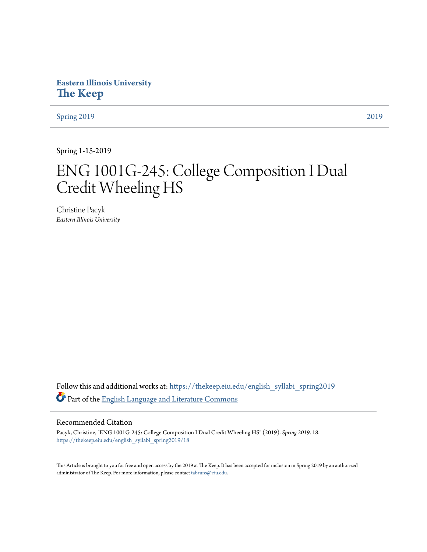# **Eastern Illinois University [The Keep](https://thekeep.eiu.edu?utm_source=thekeep.eiu.edu%2Fenglish_syllabi_spring2019%2F18&utm_medium=PDF&utm_campaign=PDFCoverPages)**

[Spring 2019](https://thekeep.eiu.edu/english_syllabi_spring2019?utm_source=thekeep.eiu.edu%2Fenglish_syllabi_spring2019%2F18&utm_medium=PDF&utm_campaign=PDFCoverPages) [2019](https://thekeep.eiu.edu/english_syllabi2019?utm_source=thekeep.eiu.edu%2Fenglish_syllabi_spring2019%2F18&utm_medium=PDF&utm_campaign=PDFCoverPages)

Spring 1-15-2019

# ENG 1001G-245: College Composition I Dual Credit Wheeling HS

Christine Pacyk *Eastern Illinois University*

Follow this and additional works at: [https://thekeep.eiu.edu/english\\_syllabi\\_spring2019](https://thekeep.eiu.edu/english_syllabi_spring2019?utm_source=thekeep.eiu.edu%2Fenglish_syllabi_spring2019%2F18&utm_medium=PDF&utm_campaign=PDFCoverPages) Part of the [English Language and Literature Commons](http://network.bepress.com/hgg/discipline/455?utm_source=thekeep.eiu.edu%2Fenglish_syllabi_spring2019%2F18&utm_medium=PDF&utm_campaign=PDFCoverPages)

# Recommended Citation

Pacyk, Christine, "ENG 1001G-245: College Composition I Dual Credit Wheeling HS" (2019). *Spring 2019*. 18. [https://thekeep.eiu.edu/english\\_syllabi\\_spring2019/18](https://thekeep.eiu.edu/english_syllabi_spring2019/18?utm_source=thekeep.eiu.edu%2Fenglish_syllabi_spring2019%2F18&utm_medium=PDF&utm_campaign=PDFCoverPages)

This Article is brought to you for free and open access by the 2019 at The Keep. It has been accepted for inclusion in Spring 2019 by an authorized administrator of The Keep. For more information, please contact [tabruns@eiu.edu.](mailto:tabruns@eiu.edu)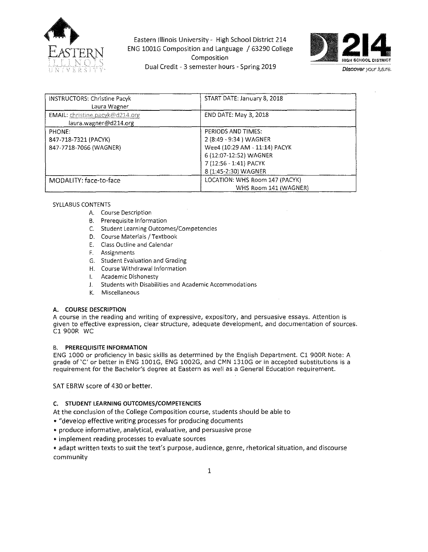

Eastern Illinois University - High School District 214 ENG 1001G Composition and Language / 63290 College Composition Dual Credit - 3 semester hours - Spr'mg 2019



| INSTRUCTORS: Christine Pacyk<br>Laura Wagner             | START DATE: January 8, 2018    |
|----------------------------------------------------------|--------------------------------|
| EMAIL: christine.pacyk@d214.org<br>laura.wagner@d214.org | END DATE: May 3, 2018          |
| PHONE:                                                   | PERIODS AND TIMES:             |
| 847-718-7321 (PACYK)                                     | 2 (8:49 - 9:34) WAGNER         |
| 847-7718-7066 (WAGNER)                                   | Wee4 (10:29 AM - 11:14) PACYK  |
|                                                          | 6 (12:07-12:52) WAGNER         |
|                                                          | 7 (12:56 - 1:41) PACYK         |
|                                                          | 8 (1:45-2:30) WAGNER           |
| MODALITY: face-to-face                                   | LOCATION: WHS Room 147 (PACYK) |
|                                                          | WHS Room 141 (WAGNER)          |

#### SYLLABUS CONTENTS

- **A. Course Description**
- **8. Prerequisite Information**
- **C. Student Learning Outcomes/Competencies**
- D. Course Materials / Textbook
- E. Class Outline and Calendar
- **F. Assignments**
- **G. Student Evaluation and Grading**
- **H. Course Withdrawal Information**
- **L Academic Dishonesty**
- **J. Students with Disabilities and Academic Accommodations**
- **K. Miscellaneous**

# A. COURSE DESCRIPTION

**A course in the reading and writing of expressive, expository, and persuasive essays. Attention is given to effective expression, clear structure, adequate development, and documentation of sources.**  Cl 900R WC

#### B. PREREQUISITE INFORMATION

ENG 1000 or proficiency in basic skills as determined by the English Department. C1 900R Note: A grade of 'C' or better in ENG 1001G, ENG 1002G, and CMN 1310G or in accepted substitutions is a requirement for the Bachelor's degree at Eastern as well as a General Education requirement.

SAT EBRW score of 430 or better.

# C. STUDENT LEARNING OUTCOMES/COMPETENCIES

At the conclusion of the College Composition course, students should be able to

- "develop effective writing processes for producing documents
- produce informative, analytical, evaluative, and persuasive prose
- implement reading processes to evaluate sources

• adapt written texts to suit the text's purpose, audience, genre, rhetorical situation, and discourse community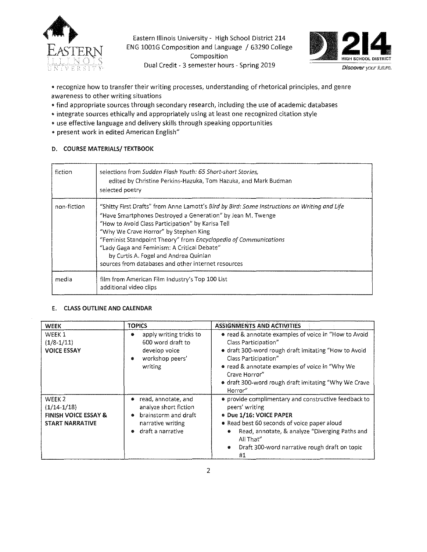

Eastern Illinois University - High School District 214 ENG 1001G Composition and Language / 63290 College Composition Dual Credit - 3 semester hours - Spring 2019



- recognize how to transfer their writing processes, understanding of rhetorical principles, and genre awareness to other writing situations
- •find appropriate sources through secondary research, including the use of academic databases
- integrate sources ethically and appropriately using at least one recognized citation style
- use effective language and delivery skills through speaking opportunities
- present work in edited American English"

# 0. COURSE MATERIALS/ TEXTBOOK

| fiction     | selections from Sudden Flash Youth: 65 Short-short Stories,<br>edited by Christine Perkins-Hazuka, Tom Hazuka, and Mark Budman<br>selected poetry                                                                                                                                                                                                                                                                                                                            |
|-------------|------------------------------------------------------------------------------------------------------------------------------------------------------------------------------------------------------------------------------------------------------------------------------------------------------------------------------------------------------------------------------------------------------------------------------------------------------------------------------|
| non-fiction | "Shitty First Drafts" from Anne Lamott's Bird by Bird: Some Instructions on Writing and Life<br>"Have Smartphones Destroyed a Generation" by Jean M. Twenge<br>"How to Avoid Class Participation" by Karisa Tell<br>"Why We Crave Horror" by Stephen King<br>"Feminist Standpoint Theory" from Encyclopedia of Communications<br>"Lady Gaga and Feminism: A Critical Debate"<br>by Curtis A. Fogel and Andrea Quinian<br>sources from databases and other internet resources |
| media       | film from American Film Industry's Top 100 List<br>additional video clips                                                                                                                                                                                                                                                                                                                                                                                                    |

# E. CLASS OUTLINE AND CALENDAR

| <b>WEEK</b>                                                                                     | <b>TOPICS</b>                                                                                                                    | <b>ASSIGNMENTS AND ACTIVITIES</b>                                                                                                                                                                                                                                                                  |
|-------------------------------------------------------------------------------------------------|----------------------------------------------------------------------------------------------------------------------------------|----------------------------------------------------------------------------------------------------------------------------------------------------------------------------------------------------------------------------------------------------------------------------------------------------|
| WEEK 1<br>$(1/8-1/11)$<br><b>VOICE ESSAY</b>                                                    | apply writing tricks to<br>۰<br>600 word draft to<br>develop voice<br>workshop peers'<br>۰<br>writing                            | • read & annotate examples of voice in "How to Avoid<br>Class Participation"<br>• draft 300-word rough draft imitating "How to Avoid<br>Class Participation"<br>• read & annotate examples of voice in "Why We<br>Crave Horror"<br>• draft 300-word rough draft imitating "Why We Crave<br>Horror" |
| WEEK <sub>2</sub><br>$(1/14-1/18)$<br><b>FINISH VOICE ESSAY &amp;</b><br><b>START NARRATIVE</b> | read, annotate, and<br>analyze short fiction<br>brainstorm and draft<br>$\bullet$<br>narrative writing<br>draft a narrative<br>۰ | • provide complimentary and constructive feedback to<br>peers' writing<br><b>* Due 1/16: VOICE PAPER</b><br><b>•</b> Read best 60 seconds of voice paper aloud<br>Read, annotate, & analyze "Diverging Paths and<br>₩<br>All That"<br>Draft 300-word narrative rough draft on topic<br>€<br>#1     |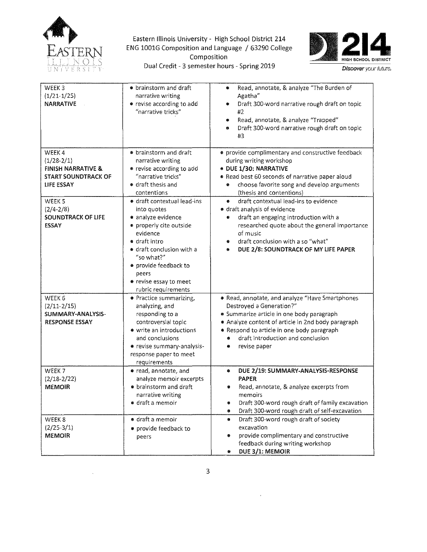

 $\sim$ 

Eastern Illinois University - High School District 214 ENG 1001G Composition and Language / 63290 College Exercity - High School District 214<br> **2008 Composition Composition**<br>
Composition Dual Credit - 3 semester hours - Spring 2019



| WEEK3<br>$(1/21-1/25)$<br><b>NARRATIVE</b>                                                         | • brainstorm and draft<br>narrative writing<br>• revise according to add<br>"narrative tricks"                                                                                                                                                         | Read, annotate, & analyze "The Burden of<br>۰<br>Agatha <sup>"</sup><br>Draft 300-word narrative rough draft on topic<br>۰<br>#2.<br>Read, annotate, & analyze "Trapped"<br>۰<br>Draft 300-word narrative rough draft on topic<br>۰<br>#3                                                 |
|----------------------------------------------------------------------------------------------------|--------------------------------------------------------------------------------------------------------------------------------------------------------------------------------------------------------------------------------------------------------|-------------------------------------------------------------------------------------------------------------------------------------------------------------------------------------------------------------------------------------------------------------------------------------------|
| WEEK4<br>$(1/28-2/1)$<br><b>FINISH NARRATIVE &amp;</b><br><b>START SOUNDTRACK OF</b><br>LIFE ESSAY | • brainstorm and draft<br>narrative writing<br>• revise according to add<br>"narrative tricks"<br>• draft thesis and<br>contentions                                                                                                                    | • provide complimentary and constructive feedback<br>during writing workshop<br>· DUE 1/30: NARRATIVE<br>* Read best 60 seconds of narrative paper aloud<br>choose favorite song and develop arguments<br>(thesis and contentions)                                                        |
| WEEK <sub>5</sub><br>$(2/4 - 2/8)$<br><b>SOUNDTRACK OF LIFE</b><br><b>ESSAY</b>                    | · draft contextual lead-ins<br>into quotes<br>· analyze evidence<br>• properly cite outside<br>evidence<br>· draft intro<br>· draft conclusion with a<br>"so what?"<br>• provide feedback to<br>peers<br>● revise essay to meet<br>rubric requirements | draft contextual lead-ins to evidence<br>۰<br><b>e</b> draft analysis of evidence<br>draft an engaging introduction with a<br>۰<br>researched quote about the general importance<br>of music<br>draft conclusion with a so "what"<br>۰<br>DUE 2/8: SOUNDTRACK OF MY LIFE PAPER            |
| WEEK 6<br>$(2/11-2/15)$<br>SUMMARY-ANALYSIS-<br><b>RESPONSE ESSAY</b>                              | · Practice summarizing,<br>analyzing, and<br>responding to a<br>controversial topic<br>• write an introductions<br>and conclusions<br>· revise summary-analysis-<br>response paper to meet<br>requirements                                             | Read, annotate, and analyze "Have Smartphones<br>Destroyed a Generation?"<br>• Summarize article in one body paragraph<br>. Analyze content of article in 2nd body paragraph<br>* Respond to article in one body paragraph<br>draft introduction and conclusion<br>٠<br>revise paper<br>۰ |
| WEEK 7<br>$(2/18 - 2/22)$<br><b>MEMOIR</b>                                                         | · read, annotate, and<br>analyze memoir excerpts<br><b>•</b> brainstorm and draft<br>narrative writing<br>● draft a memoir                                                                                                                             | DUE 2/19: SUMMARY-ANALYSIS-RESPONSE<br>۰<br><b>PAPER</b><br>Read, annotate, & analyze excerpts from<br>memoirs<br>Draft 300-word rough draft of family excavation<br>۰<br>Draft 300-word rough draft of self-excavation<br>۶                                                              |
| WEEK <sub>8</sub><br>$(2/25-3/1)$<br><b>MEMOIR</b>                                                 | · draft a memoir<br>· provide feedback to<br>peers                                                                                                                                                                                                     | Draft 300-word rough draft of society<br>۰<br>excavation<br>provide complimentary and constructive<br>feedback during writing workshop<br>DUE 3/1: MEMOIR                                                                                                                                 |

 $\epsilon$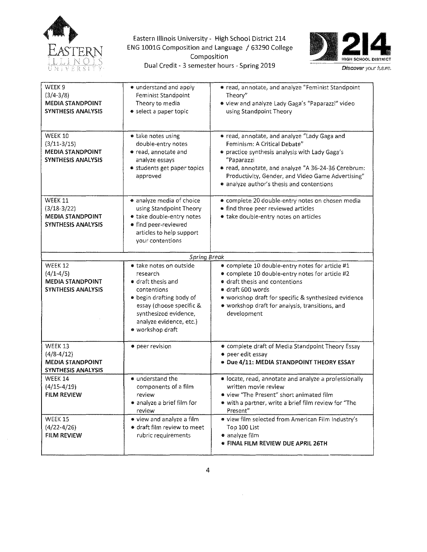

Eastern Illinois University - High School District 214 ENG 1001G Composition and Language / 63290 College ersity - High School District 214<br>Ion and Language / 63290 College<br>Composition Dual Credit - 3 semester hours - Spring 2019



| WEEK <sub>9</sub><br>$(3/4 - 3/8)$<br><b>MEDIA STANDPOINT</b><br><b>SYNTHESIS ANALYSIS</b> | • understand and apply<br>Feminist Standpoint<br>Theory to media<br>• select a paper topic                                                                                                               | * read, annotate, and analyze "Feminist Standpoint<br>Theory"<br>· view and analyze Lady Gaga's "Paparazzi" video<br>using Standpoint Theory                                                                                                                                                          |  |
|--------------------------------------------------------------------------------------------|----------------------------------------------------------------------------------------------------------------------------------------------------------------------------------------------------------|-------------------------------------------------------------------------------------------------------------------------------------------------------------------------------------------------------------------------------------------------------------------------------------------------------|--|
| <b>WEEK 10</b><br>$(3/11-3/15)$<br><b>MEDIA STANDPOINT</b><br><b>SYNTHESIS ANALYSIS</b>    | · take notes using<br>double-entry notes<br>· read, annotate and<br>analyze essays<br>• students get paper topics<br>approved                                                                            | · read, annotate, and analyze "Lady Gaga and<br>Feminism: A Critical Debate"<br>• practice synthesis analysis with Lady Gaga's<br>"Paparazzi<br>· read, annotate, and analyze "A 36-24-36 Cerebrum:<br>Productivity, Gender, and Video Game Advertising"<br>• analyze author's thesis and contentions |  |
| WEEK 11<br>$(3/18-3/22)$<br>MEDIA STANDPOINT<br><b>SYNTHESIS ANALYSIS</b>                  | analyze media of choice<br>using Standpoint Theory<br>· take double-entry notes<br>· find peer-reviewed<br>articles to help support<br>vour contentions                                                  | · complete 20 double-entry notes on chosen media<br>• find three peer reviewed articles<br>· take double-entry notes on articles                                                                                                                                                                      |  |
|                                                                                            | <b>Spring Break</b>                                                                                                                                                                                      |                                                                                                                                                                                                                                                                                                       |  |
| WEEK 12<br>$(4/1 - 4/5)$<br><b>MEDIA STANDPOINT</b><br><b>SYNTHESIS ANALYSIS</b>           | • take notes on outside<br>research<br>• draft thesis and<br>contentions<br>· begin drafting body of<br>essay (choose specific &<br>synthesized evidence,<br>analyze evidence, etc.)<br>· workshop draft | · complete 10 double-entry notes for article #1<br>• complete 10 double-entry notes for article #2<br>• draft thesis and contentions<br>· draft 600 words<br>• workshop draft for specific & synthesized evidence<br>· workshop draft for analysis, transitions, and<br>development                   |  |
| <b>WEEK 13</b><br>$(4/8 - 4/12)$<br><b>MEDIA STANDPOINT</b><br>SYNTHESIS ANALYSIS          | • peer revision                                                                                                                                                                                          | <b>Complete draft of Media Standpoint Theory Essay</b><br>• peer edit essay<br>· Due 4/11: MEDIA STANDPOINT THEORY ESSAY                                                                                                                                                                              |  |
| <b>WEEK 14</b><br>$(4/15 - 4/19)$<br>FILM REVIEW                                           | · understand the<br>components of a film<br>review<br>• analyze a brief film for<br>review                                                                                                               | · locate, read, annotate and analyze a professionally<br>written movie review<br>• view "The Present" short animated film<br>· with a partner, write a brief film review for "The<br>Present"                                                                                                         |  |
| WEEK 15<br>$(4/22 - 4/26)$<br>FILM REVIEW                                                  | · view and analyze a film<br>· draft film review to meet<br>rubric requirements                                                                                                                          | · view film selected from American Film Industry's<br>Top 100 List<br>· analyze film<br>· FINAL FILM REVIEW DUE APRIL 26TH                                                                                                                                                                            |  |

 $\bar{\mathcal{L}}$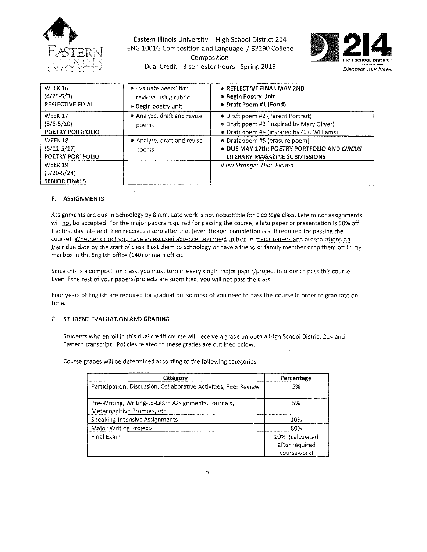

Eastern Illinois University - High School District 214 ENG 1001G Composition and Language / 63290 College Composition Dual Credit - 3 semester hours - Spring 2019



| WEEK 16<br>$(4/29-5/3)$<br>REFLECTIVE FINAL      | • Evaluate peers' film<br>reviews using rubric<br>● Begin poetry unit | • REFLECTIVE FINAL MAY 2ND<br><b>.</b> Begin Poetry Unit<br>• Draft Poem #1 (Food)                                                 |
|--------------------------------------------------|-----------------------------------------------------------------------|------------------------------------------------------------------------------------------------------------------------------------|
| WEEK 17<br>$(5/6-5/10)$<br>POETRY PORTFOLIO      | • Analyze, draft and revise<br>poems                                  | <b>Draft poem #2 (Parent Portrait)</b><br>• Draft poem #3 (inspired by Mary Oliver)<br>• Draft poem #4 (inspired by C.K. Williams) |
| WEEK 18<br>$(5/11-5/17)$<br>POETRY PORTFOLIO     | • Analyze, draft and revise<br>poems                                  | • Draft poem #5 (erasure poem)<br>. DUE MAY 17th: POETRY PORTFOLIO AND CIRCUS<br>LITERARY MAGAZINE SUBMISSIONS                     |
| WEEK 19<br>$(5/20-5/24)$<br><b>SENIOR FINALS</b> |                                                                       | View Stranger Than Fiction                                                                                                         |

#### F. ASSIGNMENTS

Assignments are due in Schoology by 8 a.m. Late work is not acceptable for a college class. Late minor assignments will not be accepted. For the major papers required for passing the course, a late paper or presentation is 50% off the first day late and then receives a zero after that (even though completion is still required for passing the course). Whether or not you have an excused absence, you need to turn in major papers and presentations on their due date by the start of class. Post them to Schoology or have a friend or family member drop them off in my mailbox in the English office (140) or main office.

Since this is a composition class, you must turn in every single major paper/project in order to pass this course. Even if the rest of your papers/projects are submitted, you will not pass the class.

Four years of English are required for graduation, so most of you need to pass this course in order to graduate on time.

# G. STUDENT EVALUATION AND GRADING

Students who enroll in this dual credit course will receive a grade on both a High School District 214 and Eastern transcript. Policies related to these grades are outlined below.

Course grades will be determined according to the following categories:

| Category                                                                            | Percentage                                       |
|-------------------------------------------------------------------------------------|--------------------------------------------------|
| Participation: Discussion, Collaborative Activities, Peer Review                    | 5%                                               |
| Pre-Writing, Writing-to-Learn Assignments, Journals,<br>Metacognitive Prompts, etc. | 5%                                               |
| Speaking-Intensive Assignments                                                      | 10%                                              |
| Major Writing Projects                                                              | 80%                                              |
| Final Exam                                                                          | 10% (calculated<br>after required<br>coursework) |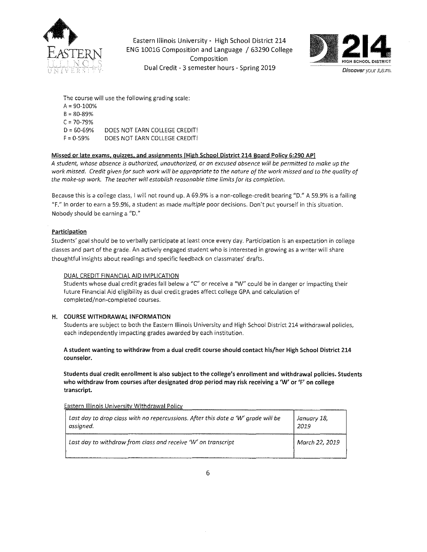

Eastern Illinois University- High School District 214 ENG lOOlG Composition and Language / 63290 College Composition Dual Credit - 3 semester hours - Spring 2019



The course will use the following grading scale: A= 90-100%  $B = 80 - 89%$  $C = 70 - 79\%$  $D = 60 - 69%$  $F = 0.59%$ DOES NOT EARN COLLEGE CREDIT! DOES NOT EARN COLLEGE CREDIT!

#### Missed or late exams. quizzes. and assignments [High School District 214 Board Policy 6:290 APJ

*A student, whose absence is authorized, unauthorized, or an excused absence will be permitted to make up the work missed. Credit given for such work will be appropriate to the nature of the work missed and to the quality of the make-up work. The teacher will establish reasonable time limits for its completion.* 

Because this is a college class, I will not round up. A 69.9% is a non-college-credit bearing "D." A 59.9% is a failing "F." In order to earn a 59.9%, a student as made *multiple* poor decisions. Don't put yourself in this situation. Nobody should be earning a "D."

# **Participation**

Students' goal should be to verbally participate at least once every day. Participation is an expectation in college classes and part of the grade. An actively engaged student who is interested in growing as a writer will share thoughtful insights about readings and specific feedback on classmates' drafts.

#### DUAL CREDIT FINANCIAL AID IMPLICATION

Students whose dual credit grades fall below a "C" or receive a "W" could be in danger or impacting their future Financial Aid eligibility as dual credit grades affect college GPA and calculation of completed/non-completed courses.

#### H. COURSE WITHDRAWAL INFORMATION

Students are subject to both the Eastern Illinois University and High School District 214 withdrawal policies, each independently impacting grades awarded by each institution.

#### A student wanting to withdraw from a dual credit course should contact his/her High School District 214 counselor.

Students dual credit enrollment is also subject to the college's enrollment and withdrawal policies. Students who withdraw from courses after designated drop period may risk receiving a 'W' or 'F' on college transcript.

Eastern Illinois Universitv Withdrawal Policv

| $\mid$ Last day to drop class with no repercussions. After this date a 'W' arade will be | January 18,    |
|------------------------------------------------------------------------------------------|----------------|
| assianed.                                                                                | 2019           |
| Last day to withdraw from class and receive 'W' on transcript                            | March 22, 2019 |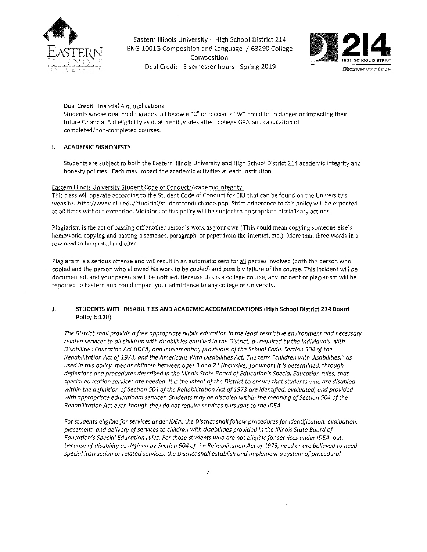

Eastern Illinois University- High School District 214 ENG 1001G Composition and Language / 63290 College Composition Dual Credit - 3 semester hours - Spring 2019



#### Dual Credit Financial Aid Implications

Students whose dual credit grades fall below a "C" or receive a "W" could be in danger or impacting their future Financial Aid eligibility as dual credit grades affect college GPA and calculation of completed/non-completed courses.

#### I. ACADEMIC DISHONESTY

Students are subject to both the Eastern Illinois University and High School District 214 academic integrity and honesty policies. Each may impact the academic activities at each institution.

#### Eastern Illinois University Student Code of Conduct/Academic Integrity:

This class will operate according to the Student Code of Conduct for EIU that can be found on the University's website ... http://www.eiu.edu/-judicial/studentconductcode.php. Strict adherence to this policy will be expected at all times without exception. Violators of this policy will be subject to appropriate disciplinary actions.

Plagiarism is the act of passing off another person's work as your own (This could mean copying someone else's homework; copying and pasting a sentence, paragraph, or paper from the internet; etc.). More than three words in a row need to be quoted and cited.

Plagiarism is a serious offense and will result in an automatic zero for all parties involved (both the person who copied and the person who allowed his work to be copied) and possibly failure of the course. This incident wiH be documented, and your parents will be notified. Because this is a college course, any incident of plagiarism will be reported to Eastern and could impact your admittance to any college or university.

#### J. STUDENTS WITH DISABILITIES AND ACADEMIC ACCOMMODATIONS (High School District 214 Board Policy 6:120)

*The District shalf provide a free appropriate public education in the least restrictive environment and necessary related services to all children with disabilities enrolled in the District, as required by the Individuals With Disabilities Education Act (IDEA) and implementing provisions of the School Code, Section 504 of the Rehobilitation Act of 1973, ond the Americans With Disabilities Act. The term "children with disabilities," as used in this policy, means children between ages 3 and 21 (inclusive) for whom it is determined, through definitions and procedures described in the Illinois State Board of Education's Special Education rules, that special education services are needed. It is the intent of the District to ensure that students who are disabled within the definition of Section 504 of the Rehabilitotion Act of 1973 are identified, evaluated, and provided*  with appropriate educational services. Students may be disabled within the meaning of Section 504 of the *Rehabilitation Act even though they do not require services pursuant to the IDEA.* 

For students eligible for services under IDEA, the District shall follow procedures for identification, evaluation, *placement, and delivery of services to children with disabilities provided in the Illinois State Board of Education's Special Education rules. For those students who are not eligible for services under IDEA, but, because of disability as defined by Section 504 of* the *Rehabilitotion* Act *of 1973, need or are believed* to *need special instruction or related services, the District shall establish and implement a system of procedural*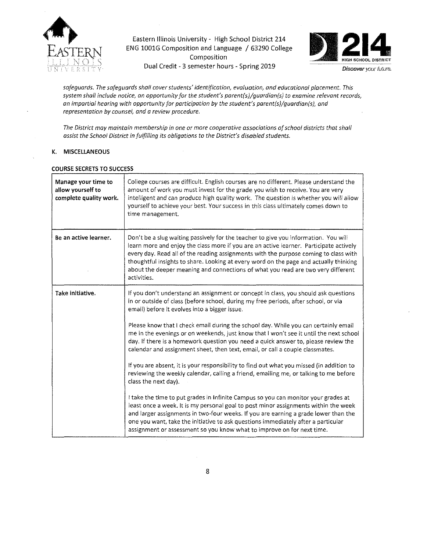

Eastern Illinois University- High School District 214 ENG 1001G Composition and Language / 63290 College Composition Dual Credit - 3 semester hours - Spring 2019 Discover your future.



*safeguards. The safeguards shall cover students' identification, evaluation, and educational placement. This system shall include notice, an opportunity for the student's parent(s)/guardian(s) to examine relevant records, an impartial hearing with opportunity for participation by the student's parent(s)/guardian(s), and representation by counsel, and a review procedure.* 

*The District may maintain membership in one or more cooperative associations of school districts that shall assist the School District in fulfilling its obligations to the District's disabled students.* 

#### K. MISCELLANEOUS

| Manage your time to<br>allow yourself to<br>complete quality work. | College courses are difficult. English courses are no different. Please understand the<br>amount of work you must invest for the grade you wish to receive. You are very<br>intelligent and can produce high quality work. The question is whether you will allow<br>yourself to achieve your best. Your success in this class ultimately comes down to<br>time management.                                                                                       |
|--------------------------------------------------------------------|-------------------------------------------------------------------------------------------------------------------------------------------------------------------------------------------------------------------------------------------------------------------------------------------------------------------------------------------------------------------------------------------------------------------------------------------------------------------|
| Be an active learner.                                              | Don't be a slug waiting passively for the teacher to give you information. You will<br>learn more and enjoy the class more if you are an active learner. Participate actively<br>every day. Read all of the reading assignments with the purpose coming to class with<br>thoughtful insights to share. Looking at every word on the page and actually thinking<br>about the deeper meaning and connections of what you read are two very different<br>activities. |
| Take initiative.                                                   | If you don't understand an assignment or concept in class, you should ask questions<br>in or outside of class (before school, during my free periods, after school, or via<br>email) before it evolves into a bigger issue.                                                                                                                                                                                                                                       |
|                                                                    | Please know that I check email during the school day. While you can certainly email<br>me in the evenings or on weekends, just know that I won't see it until the next school<br>day. If there is a homework question you need a quick answer to, please review the<br>calendar and assignment sheet, then text, email, or call a couple classmates.                                                                                                              |
|                                                                    | If you are absent, it is your responsibility to find out what you missed (in addition to<br>reviewing the weekly calendar, calling a friend, emailing me, or talking to me before<br>class the next day).                                                                                                                                                                                                                                                         |
|                                                                    | I take the time to put grades in Infinite Campus so you can monitor your grades at<br>least once a week. It is my personal goal to post minor assignments within the week<br>and larger assignments in two-four weeks. If you are earning a grade lower than the<br>one you want, take the initiative to ask questions immediately after a particular<br>assignment or assessment so you know what to improve on for next time.                                   |

#### COURSE SECRETS TO SUCCESS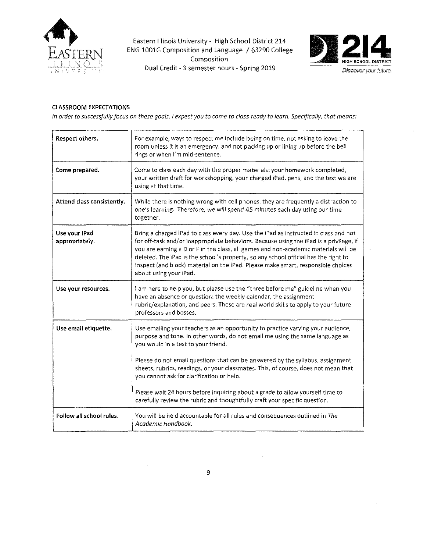

Eastern Illinois University- High School District 214 ENG 1001G Composition and Language / 63290 College Composition Dual Credit - 3 semester hours - Spring 2019



# CLASSROOM EXPECTATIONS

*In order to successfully focus on these goals, I expect you to come to class ready to learn. Specifically, that means:* 

| Respect others.                 | For example, ways to respect me include being on time, not asking to leave the<br>room unless it is an emergency, and not packing up or lining up before the bell<br>rings or when I'm mid-sentence.                                                                                                                                                                                                                                                                       |
|---------------------------------|----------------------------------------------------------------------------------------------------------------------------------------------------------------------------------------------------------------------------------------------------------------------------------------------------------------------------------------------------------------------------------------------------------------------------------------------------------------------------|
| Come prepared.                  | Come to class each day with the proper materials: your homework completed,<br>your written draft for workshopping, your charged iPad, pens, and the text we are<br>using at that time.                                                                                                                                                                                                                                                                                     |
| Attend class consistently.      | While there is nothing wrong with cell phones, they are frequently a distraction to<br>one's learning. Therefore, we will spend 45 minutes each day using our time<br>together.                                                                                                                                                                                                                                                                                            |
| Use your iPad<br>appropriately. | Bring a charged iPad to class every day. Use the iPad as instructed in class and not<br>for off-task and/or inappropriate behaviors. Because using the iPad is a privilege, if<br>you are earning a D or F in the class, all games and non-academic materials will be<br>deleted. The iPad is the school's property, so any school official has the right to<br>inspect (and block) material on the iPad. Please make smart, responsible choices<br>about using your iPad. |
| Use your resources.             | I am here to help you, but please use the "three before me" guideline when you<br>have an absence or question: the weekly calendar, the assignment<br>rubric/explanation, and peers. These are real world skills to apply to your future<br>professors and bosses.                                                                                                                                                                                                         |
| Use email etiquette.            | Use emailing your teachers as an opportunity to practice varying your audience,<br>purpose and tone. In other words, do not email me using the same language as<br>you would in a text to your friend.                                                                                                                                                                                                                                                                     |
|                                 | Please do not email questions that can be answered by the syllabus, assignment<br>sheets, rubrics, readings, or your classmates. This, of course, does not mean that<br>you cannot ask for clarification or help.                                                                                                                                                                                                                                                          |
|                                 | Please wait 24 hours before inquiring about a grade to allow yourself time to<br>carefully review the rubric and thoughtfully craft your specific question.                                                                                                                                                                                                                                                                                                                |
| Follow all school rules.        | You will be held accountable for all rules and consequences outlined in The<br>Academic Handbook.                                                                                                                                                                                                                                                                                                                                                                          |